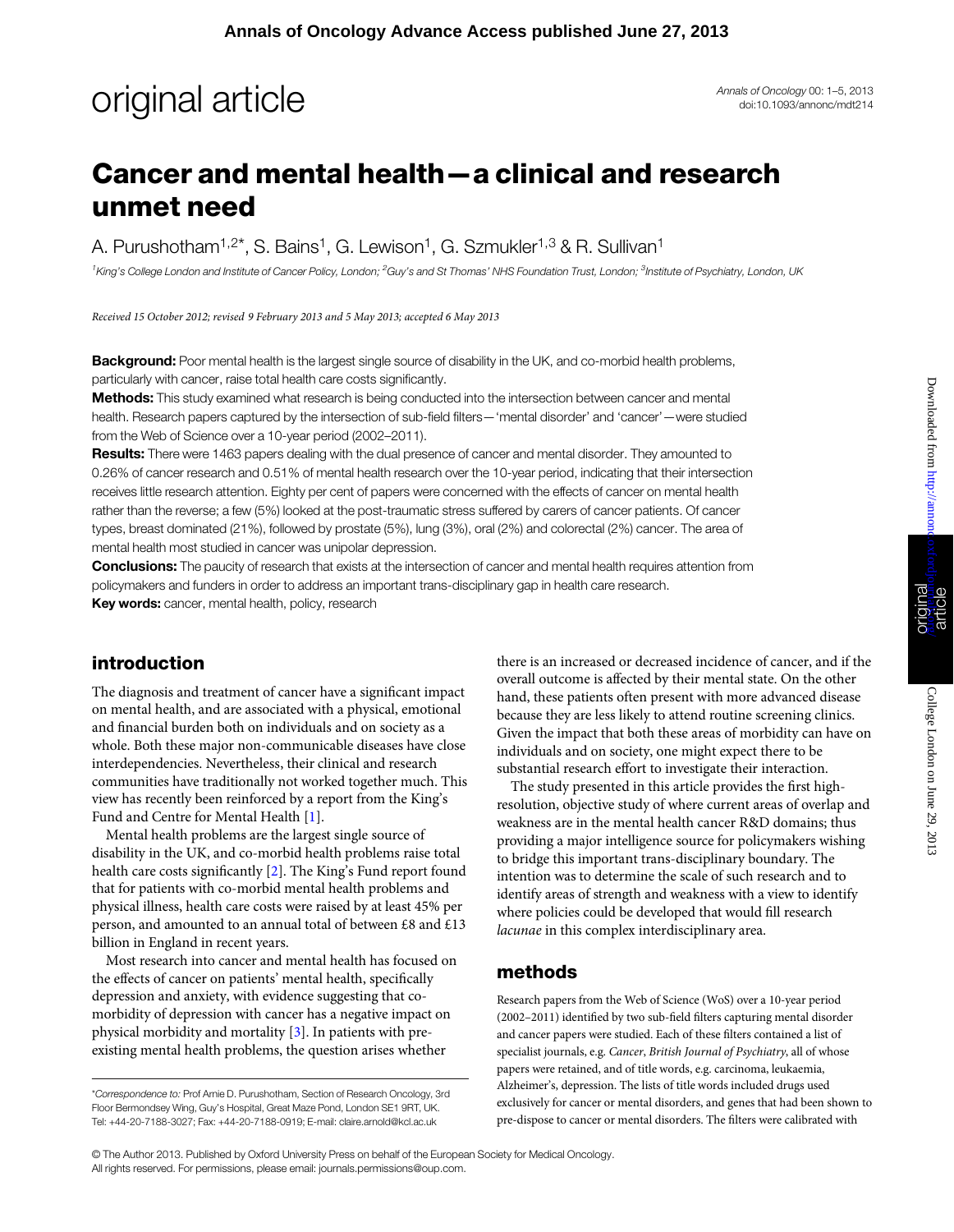## $\text{original article} \qquad \qquad \text{if} \qquad \text{if} \qquad \text{if} \qquad \text{if} \qquad \text{if} \qquad \text{if} \qquad \text{if} \qquad \text{if} \qquad \text{if} \qquad \text{if} \qquad \text{if} \qquad \text{if} \qquad \text{if} \qquad \text{if} \qquad \text{if} \qquad \text{if} \qquad \text{if} \qquad \text{if} \qquad \text{if} \qquad \text{if} \qquad \text{if} \qquad \text{if} \qquad \text{if} \qquad \text{if} \qquad \text{if} \qquad \text{if} \qquad$

doi:10.1093/annonc/mdt214

### Cancer and mental health—a clinical and research unmet need

A. Purushotham<sup>1,2\*</sup>, S. Bains<sup>1</sup>, G. Lewison<sup>1</sup>, G. Szmukler<sup>1,3</sup> & R. Sullivan<sup>1</sup>

<sup>1</sup>King's College London and Institute of Cancer Policy, London; <sup>2</sup>Guy's and St Thomas' NHS Foundation Trust, London; <sup>3</sup>Institute of Psychiatry, London, UK

Received 15 October 2012; revised 9 February 2013 and 5 May 2013; accepted 6 May 2013

**Background:** Poor mental health is the largest single source of disability in the UK, and co-morbid health problems, particularly with cancer, raise total health care costs significantly.

Methods: This study examined what research is being conducted into the intersection between cancer and mental health. Research papers captured by the intersection of sub-field filters—'mental disorder' and 'cancer'—were studied from the Web of Science over a 10-year period (2002–2011).

Results: There were 1463 papers dealing with the dual presence of cancer and mental disorder. They amounted to 0.26% of cancer research and 0.51% of mental health research over the 10-year period, indicating that their intersection receives little research attention. Eighty per cent of papers were concerned with the effects of cancer on mental health rather than the reverse; a few (5%) looked at the post-traumatic stress suffered by carers of cancer patients. Of cancer types, breast dominated (21%), followed by prostate (5%), lung (3%), oral (2%) and colorectal (2%) cancer. The area of mental health most studied in cancer was unipolar depression.

**Conclusions:** The paucity of research that exists at the intersection of cancer and mental health requires attention from policymakers and funders in order to address an important trans-disciplinary gap in health care research. Key words: cancer, mental health, policy, research

### introduction

The diagnosis and treatment of cancer have a significant impact on mental health, and are associated with a physical, emotional and financial burden both on individuals and on society as a whole. Both these major non-communicable diseases have close interdependencies. Nevertheless, their clinical and research communities have traditionally not worked together much. This view has recently been reinforced by a report from the King's Fund and Centre for Mental Health [\[1\]](#page-3-0).

Mental health problems are the largest single source of disability in the UK, and co-morbid health problems raise total health care costs significantly [\[2\]](#page-3-0). The King's Fund report found that for patients with co-morbid mental health problems and physical illness, health care costs were raised by at least 45% per person, and amounted to an annual total of between £8 and £13 billion in England in recent years.

Most research into cancer and mental health has focused on the effects of cancer on patients' mental health, specifically depression and anxiety, with evidence suggesting that comorbidity of depression with cancer has a negative impact on physical morbidity and mortality [[3](#page-4-0)]. In patients with preexisting mental health problems, the question arises whether

there is an increased or decreased incidence of cancer, and if the overall outcome is affected by their mental state. On the other hand, these patients often present with more advanced disease because they are less likely to attend routine screening clinics. Given the impact that both these areas of morbidity can have on individuals and on society, one might expect there to be substantial research effort to investigate their interaction.

The study presented in this article provides the first highresolution, objective study of where current areas of overlap and weakness are in the mental health cancer R&D domains; thus providing a major intelligence source for policymakers wishing to bridge this important trans-disciplinary boundary. The intention was to determine the scale of such research and to identify areas of strength and weakness with a view to identify where policies could be developed that would fill research lacunae in this complex interdisciplinary area.

### methods

Research papers from the Web of Science (WoS) over a 10-year period (2002–2011) identified by two sub-field filters capturing mental disorder and cancer papers were studied. Each of these filters contained a list of specialist journals, e.g. Cancer, British Journal of Psychiatry, all of whose papers were retained, and of title words, e.g. carcinoma, leukaemia, Alzheimer's, depression. The lists of title words included drugs used exclusively for cancer or mental disorders, and genes that had been shown to pre-dispose to cancer or mental disorders. The filters were calibrated with

© The Author 2013. Published by Oxford University Press on behalf of the European Society for Medical Oncology. All rights reserved. For permissions, please email: journals.permissions@oup.com.

<sup>\*</sup>Correspondence to: Prof Arnie D. Purushotham, Section of Research Oncology, 3rd Floor Bermondsey Wing, Guy's Hospital, Great Maze Pond, London SE1 9RT, UK. Tel: +44-20-7188-3027; Fax: +44-20-7188-0919; E-mail: claire.arnold@kcl.ac.uk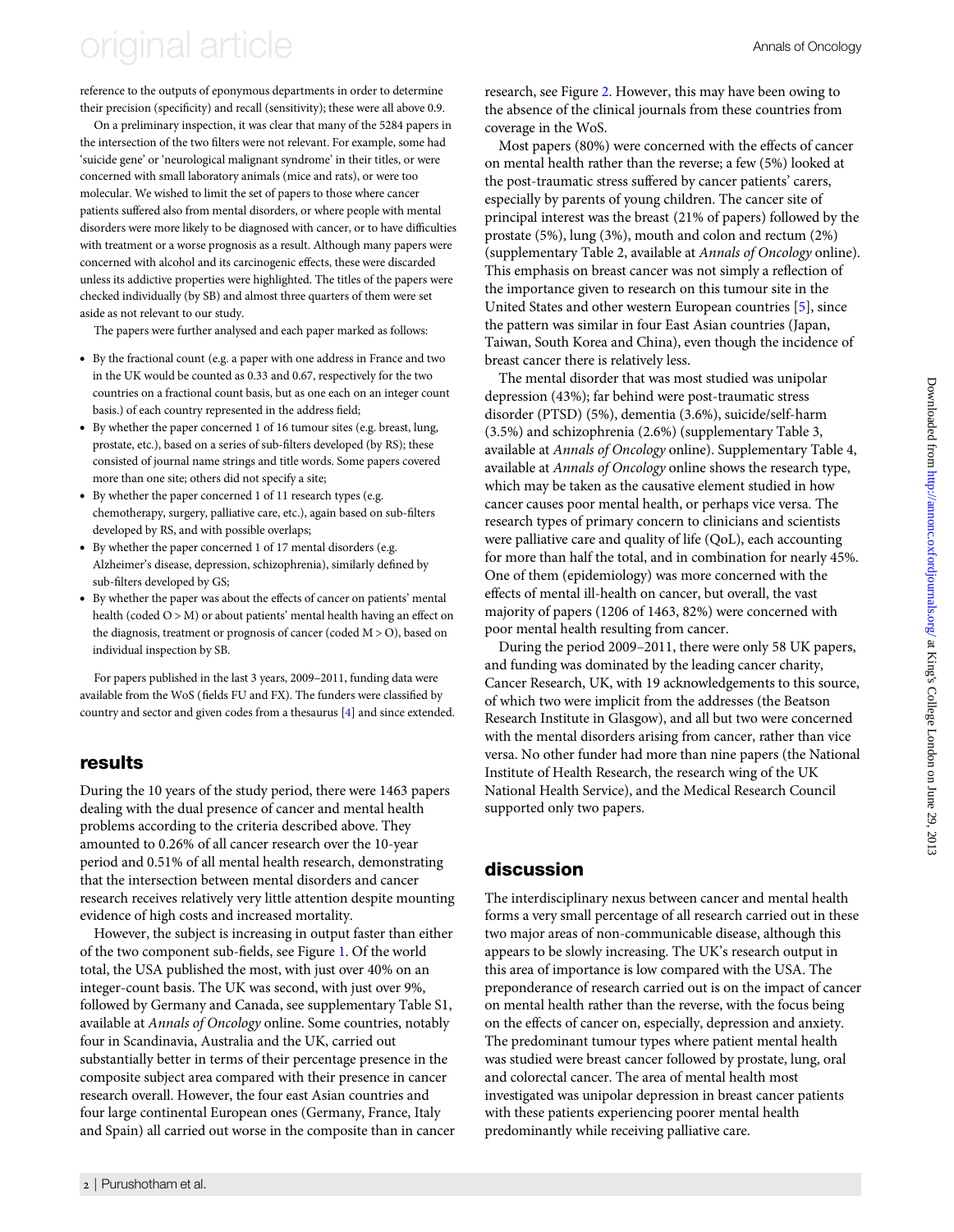### original article Annals of Oncology

reference to the outputs of eponymous departments in order to determine their precision (specificity) and recall (sensitivity); these were all above 0.9.

On a preliminary inspection, it was clear that many of the 5284 papers in the intersection of the two filters were not relevant. For example, some had 'suicide gene' or 'neurological malignant syndrome' in their titles, or were concerned with small laboratory animals (mice and rats), or were too molecular. We wished to limit the set of papers to those where cancer patients suffered also from mental disorders, or where people with mental disorders were more likely to be diagnosed with cancer, or to have difficulties with treatment or a worse prognosis as a result. Although many papers were concerned with alcohol and its carcinogenic effects, these were discarded unless its addictive properties were highlighted. The titles of the papers were checked individually (by SB) and almost three quarters of them were set aside as not relevant to our study.

The papers were further analysed and each paper marked as follows:

- By the fractional count (e.g. a paper with one address in France and two in the UK would be counted as 0.33 and 0.67, respectively for the two countries on a fractional count basis, but as one each on an integer count basis.) of each country represented in the address field;
- By whether the paper concerned 1 of 16 tumour sites (e.g. breast, lung, prostate, etc.), based on a series of sub-filters developed (by RS); these consisted of journal name strings and title words. Some papers covered more than one site; others did not specify a site;
- By whether the paper concerned 1 of 11 research types (e.g. chemotherapy, surgery, palliative care, etc.), again based on sub-filters developed by RS, and with possible overlaps;
- By whether the paper concerned 1 of 17 mental disorders (e.g. Alzheimer's disease, depression, schizophrenia), similarly defined by sub-filters developed by GS;
- By whether the paper was about the effects of cancer on patients' mental health (coded O > M) or about patients' mental health having an effect on the diagnosis, treatment or prognosis of cancer (coded  $M > O$ ), based on individual inspection by SB.

For papers published in the last 3 years, 2009–2011, funding data were available from the WoS (fields FU and FX). The funders were classified by country and sector and given codes from a thesaurus [[4\]](#page-4-0) and since extended.

#### results

During the 10 years of the study period, there were 1463 papers dealing with the dual presence of cancer and mental health problems according to the criteria described above. They amounted to 0.26% of all cancer research over the 10-year period and 0.51% of all mental health research, demonstrating that the intersection between mental disorders and cancer research receives relatively very little attention despite mounting evidence of high costs and increased mortality.

However, the subject is increasing in output faster than either of the two component sub-fields, see Figure [1.](#page-2-0) Of the world total, the USA published the most, with just over 40% on an integer-count basis. The UK was second, with just over 9%, followed by Germany and Canada, see [supplementary Table S1,](http://annonc.oxfordjournals.org/lookup/suppl/doi:10.1093/annonc/mdt214/-/DC1) available at [Annals of Oncology](http://annonc.oxfordjournals.org/lookup/suppl/doi:10.1093/annonc/mdt214/-/DC1) online. Some countries, notably four in Scandinavia, Australia and the UK, carried out substantially better in terms of their percentage presence in the composite subject area compared with their presence in cancer research overall. However, the four east Asian countries and four large continental European ones (Germany, France, Italy and Spain) all carried out worse in the composite than in cancer research, see Figure [2.](#page-2-0) However, this may have been owing to the absence of the clinical journals from these countries from coverage in the WoS.

Most papers (80%) were concerned with the effects of cancer on mental health rather than the reverse; a few (5%) looked at the post-traumatic stress suffered by cancer patients' carers, especially by parents of young children. The cancer site of principal interest was the breast (21% of papers) followed by the prostate (5%), lung (3%), mouth and colon and rectum (2%) ([supplementary Table 2, available at](http://annonc.oxfordjournals.org/lookup/suppl/doi:10.1093/annonc/mdt214/-/DC1) Annals of Oncology online). This emphasis on breast cancer was not simply a reflection of the importance given to research on this tumour site in the United States and other western European countries [[5](#page-4-0)], since the pattern was similar in four East Asian countries (Japan, Taiwan, South Korea and China), even though the incidence of breast cancer there is relatively less.

The mental disorder that was most studied was unipolar depression (43%); far behind were post-traumatic stress disorder (PTSD) (5%), dementia (3.6%), suicide/self-harm (3.5%) and schizophrenia (2.6%) [\(supplementary Table 3,](http://annonc.oxfordjournals.org/lookup/suppl/doi:10.1093/annonc/mdt214/-/DC1) available at [Annals of Oncology](http://annonc.oxfordjournals.org/lookup/suppl/doi:10.1093/annonc/mdt214/-/DC1) online). [Supplementary Table 4,](http://annonc.oxfordjournals.org/lookup/suppl/doi:10.1093/annonc/mdt214/-/DC1) available at [Annals of Oncology](http://annonc.oxfordjournals.org/lookup/suppl/doi:10.1093/annonc/mdt214/-/DC1) online shows the research type, which may be taken as the causative element studied in how cancer causes poor mental health, or perhaps vice versa. The research types of primary concern to clinicians and scientists were palliative care and quality of life (QoL), each accounting for more than half the total, and in combination for nearly 45%. One of them (epidemiology) was more concerned with the effects of mental ill-health on cancer, but overall, the vast majority of papers (1206 of 1463, 82%) were concerned with poor mental health resulting from cancer.

During the period 2009–2011, there were only 58 UK papers, and funding was dominated by the leading cancer charity, Cancer Research, UK, with 19 acknowledgements to this source, of which two were implicit from the addresses (the Beatson Research Institute in Glasgow), and all but two were concerned with the mental disorders arising from cancer, rather than vice versa. No other funder had more than nine papers (the National Institute of Health Research, the research wing of the UK National Health Service), and the Medical Research Council supported only two papers.

### discussion

The interdisciplinary nexus between cancer and mental health forms a very small percentage of all research carried out in these two major areas of non-communicable disease, although this appears to be slowly increasing. The UK's research output in this area of importance is low compared with the USA. The preponderance of research carried out is on the impact of cancer on mental health rather than the reverse, with the focus being on the effects of cancer on, especially, depression and anxiety. The predominant tumour types where patient mental health was studied were breast cancer followed by prostate, lung, oral and colorectal cancer. The area of mental health most investigated was unipolar depression in breast cancer patients with these patients experiencing poorer mental health predominantly while receiving palliative care.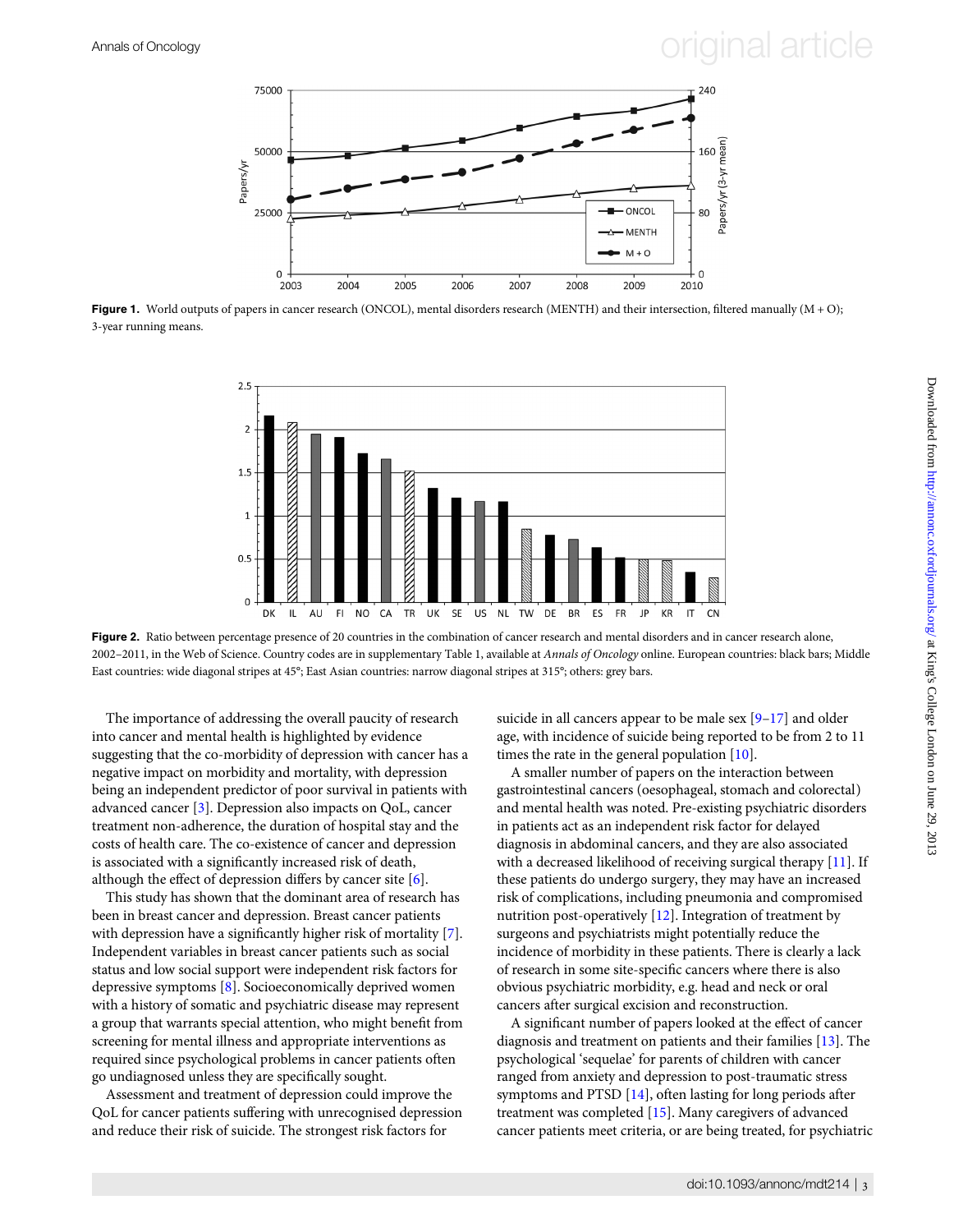# <span id="page-2-0"></span>Annals of Oncology **Annals of Oncology** original article



Figure 1. World outputs of papers in cancer research (ONCOL), mental disorders research (MENTH) and their intersection, filtered manually  $(M + O)$ ; 3-year running means.



Figure 2. Ratio between percentage presence of 20 countries in the combination of cancer research and mental disorders and in cancer research alone, 2002-2011, in the Web of Science. Country codes are in [supplementary Table 1, available at](http://annonc.oxfordjournals.org/lookup/suppl/doi:10.1093/annonc/mdt214/-/DC1) Annals of Oncology online. European countries: black bars; Middle East countries: wide diagonal stripes at 45°; East Asian countries: narrow diagonal stripes at 315°; others: grey bars.

The importance of addressing the overall paucity of research into cancer and mental health is highlighted by evidence suggesting that the co-morbidity of depression with cancer has a negative impact on morbidity and mortality, with depression being an independent predictor of poor survival in patients with advanced cancer [[3\]](#page-4-0). Depression also impacts on QoL, cancer treatment non-adherence, the duration of hospital stay and the costs of health care. The co-existence of cancer and depression is associated with a significantly increased risk of death, although the effect of depression differs by cancer site [\[6\]](#page-4-0).

This study has shown that the dominant area of research has been in breast cancer and depression. Breast cancer patients with depression have a significantly higher risk of mortality [\[7\]](#page-4-0). Independent variables in breast cancer patients such as social status and low social support were independent risk factors for depressive symptoms [\[8\]](#page-4-0). Socioeconomically deprived women with a history of somatic and psychiatric disease may represent a group that warrants special attention, who might benefit from screening for mental illness and appropriate interventions as required since psychological problems in cancer patients often go undiagnosed unless they are specifically sought.

Assessment and treatment of depression could improve the QoL for cancer patients suffering with unrecognised depression and reduce their risk of suicide. The strongest risk factors for

suicide in all cancers appear to be male sex  $[9-17]$  $[9-17]$  $[9-17]$  $[9-17]$  $[9-17]$  and older age, with incidence of suicide being reported to be from 2 to 11 times the rate in the general population [[10\]](#page-4-0).

A smaller number of papers on the interaction between gastrointestinal cancers (oesophageal, stomach and colorectal) and mental health was noted. Pre-existing psychiatric disorders in patients act as an independent risk factor for delayed diagnosis in abdominal cancers, and they are also associated with a decreased likelihood of receiving surgical therapy [[11\]](#page-4-0). If these patients do undergo surgery, they may have an increased risk of complications, including pneumonia and compromised nutrition post-operatively [\[12](#page-4-0)]. Integration of treatment by surgeons and psychiatrists might potentially reduce the incidence of morbidity in these patients. There is clearly a lack of research in some site-specific cancers where there is also obvious psychiatric morbidity, e.g. head and neck or oral cancers after surgical excision and reconstruction.

A significant number of papers looked at the effect of cancer diagnosis and treatment on patients and their families [\[13](#page-4-0)]. The psychological 'sequelae' for parents of children with cancer ranged from anxiety and depression to post-traumatic stress symptoms and PTSD [[14\]](#page-4-0), often lasting for long periods after treatment was completed [[15](#page-4-0)]. Many caregivers of advanced cancer patients meet criteria, or are being treated, for psychiatric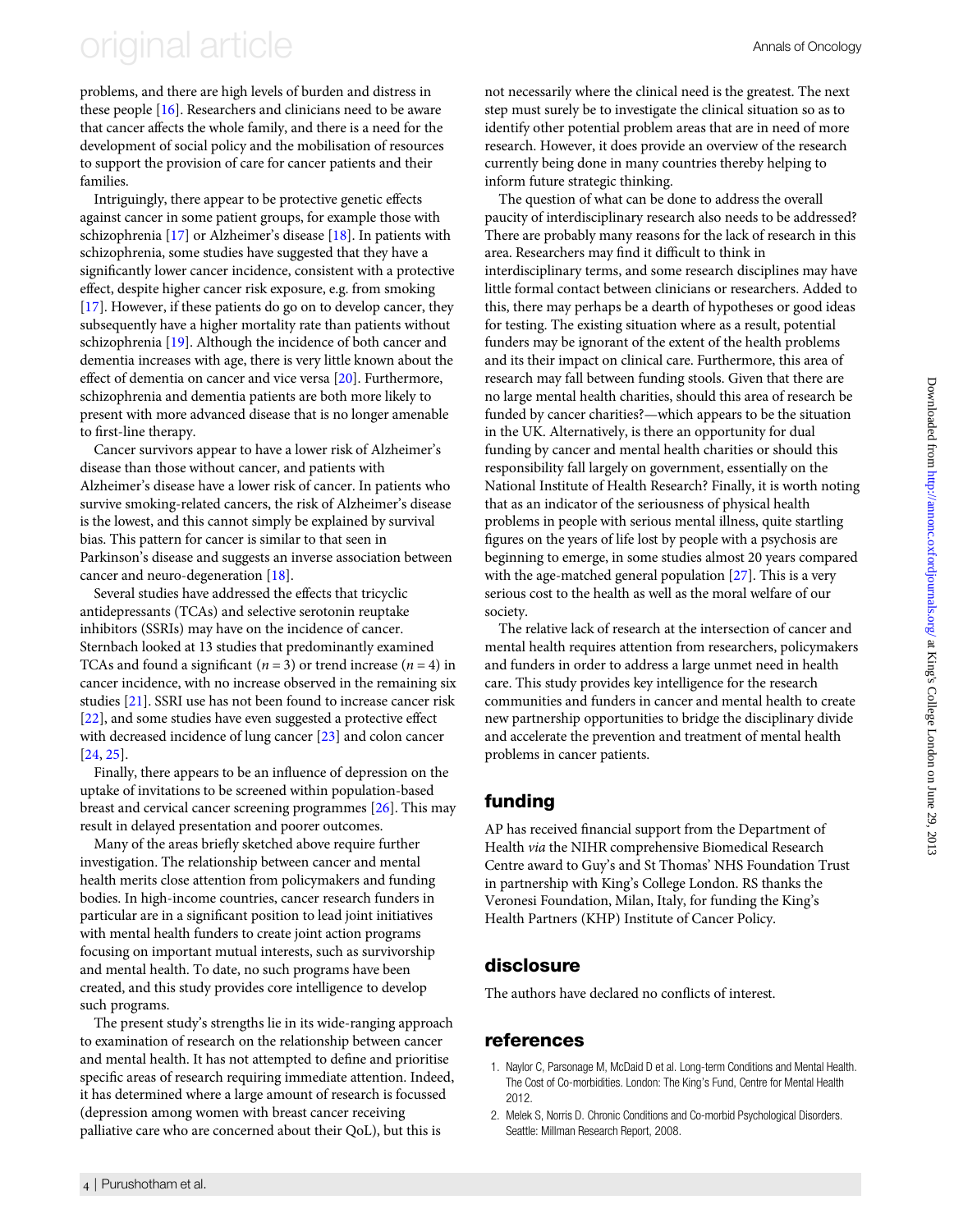### <span id="page-3-0"></span>original article Annals of Oncology

problems, and there are high levels of burden and distress in these people [\[16](#page-4-0)]. Researchers and clinicians need to be aware that cancer affects the whole family, and there is a need for the development of social policy and the mobilisation of resources to support the provision of care for cancer patients and their families.

Intriguingly, there appear to be protective genetic effects against cancer in some patient groups, for example those with schizophrenia [\[17\]](#page-4-0) or Alzheimer's disease [[18\]](#page-4-0). In patients with schizophrenia, some studies have suggested that they have a significantly lower cancer incidence, consistent with a protective effect, despite higher cancer risk exposure, e.g. from smoking [[17\]](#page-4-0). However, if these patients do go on to develop cancer, they subsequently have a higher mortality rate than patients without schizophrenia [\[19\]](#page-4-0). Although the incidence of both cancer and dementia increases with age, there is very little known about the effect of dementia on cancer and vice versa [\[20](#page-4-0)]. Furthermore, schizophrenia and dementia patients are both more likely to present with more advanced disease that is no longer amenable to first-line therapy.

Cancer survivors appear to have a lower risk of Alzheimer's disease than those without cancer, and patients with Alzheimer's disease have a lower risk of cancer. In patients who survive smoking-related cancers, the risk of Alzheimer's disease is the lowest, and this cannot simply be explained by survival bias. This pattern for cancer is similar to that seen in Parkinson's disease and suggests an inverse association between cancer and neuro-degeneration [\[18](#page-4-0)].

Several studies have addressed the effects that tricyclic antidepressants (TCAs) and selective serotonin reuptake inhibitors (SSRIs) may have on the incidence of cancer. Sternbach looked at 13 studies that predominantly examined TCAs and found a significant ( $n = 3$ ) or trend increase ( $n = 4$ ) in cancer incidence, with no increase observed in the remaining six studies [[21\]](#page-4-0). SSRI use has not been found to increase cancer risk [[22\]](#page-4-0), and some studies have even suggested a protective effect with decreased incidence of lung cancer [\[23](#page-4-0)] and colon cancer [[24,](#page-4-0) [25](#page-4-0)].

Finally, there appears to be an influence of depression on the uptake of invitations to be screened within population-based breast and cervical cancer screening programmes [\[26](#page-4-0)]. This may result in delayed presentation and poorer outcomes.

Many of the areas briefly sketched above require further investigation. The relationship between cancer and mental health merits close attention from policymakers and funding bodies. In high-income countries, cancer research funders in particular are in a significant position to lead joint initiatives with mental health funders to create joint action programs focusing on important mutual interests, such as survivorship and mental health. To date, no such programs have been created, and this study provides core intelligence to develop such programs.

The present study's strengths lie in its wide-ranging approach to examination of research on the relationship between cancer and mental health. It has not attempted to define and prioritise specific areas of research requiring immediate attention. Indeed, it has determined where a large amount of research is focussed (depression among women with breast cancer receiving palliative care who are concerned about their QoL), but this is

not necessarily where the clinical need is the greatest. The next step must surely be to investigate the clinical situation so as to identify other potential problem areas that are in need of more research. However, it does provide an overview of the research currently being done in many countries thereby helping to inform future strategic thinking.

The question of what can be done to address the overall paucity of interdisciplinary research also needs to be addressed? There are probably many reasons for the lack of research in this area. Researchers may find it difficult to think in interdisciplinary terms, and some research disciplines may have little formal contact between clinicians or researchers. Added to this, there may perhaps be a dearth of hypotheses or good ideas for testing. The existing situation where as a result, potential funders may be ignorant of the extent of the health problems and its their impact on clinical care. Furthermore, this area of research may fall between funding stools. Given that there are no large mental health charities, should this area of research be funded by cancer charities?—which appears to be the situation in the UK. Alternatively, is there an opportunity for dual funding by cancer and mental health charities or should this responsibility fall largely on government, essentially on the National Institute of Health Research? Finally, it is worth noting that as an indicator of the seriousness of physical health problems in people with serious mental illness, quite startling figures on the years of life lost by people with a psychosis are beginning to emerge, in some studies almost 20 years compared with the age-matched general population [\[27](#page-4-0)]. This is a very serious cost to the health as well as the moral welfare of our society.

The relative lack of research at the intersection of cancer and mental health requires attention from researchers, policymakers and funders in order to address a large unmet need in health care. This study provides key intelligence for the research communities and funders in cancer and mental health to create new partnership opportunities to bridge the disciplinary divide and accelerate the prevention and treatment of mental health problems in cancer patients.

### funding

AP has received financial support from the Department of Health via the NIHR comprehensive Biomedical Research Centre award to Guy's and St Thomas' NHS Foundation Trust in partnership with King's College London. RS thanks the Veronesi Foundation, Milan, Italy, for funding the King's Health Partners (KHP) Institute of Cancer Policy.

### disclosure

The authors have declared no conflicts of interest.

### references

- 1. Naylor C, Parsonage M, McDaid D et al. Long-term Conditions and Mental Health. The Cost of Co-morbidities. London: The King's Fund, Centre for Mental Health 2012.
- 2. Melek S, Norris D. Chronic Conditions and Co-morbid Psychological Disorders. Seattle: Millman Research Report, 2008.